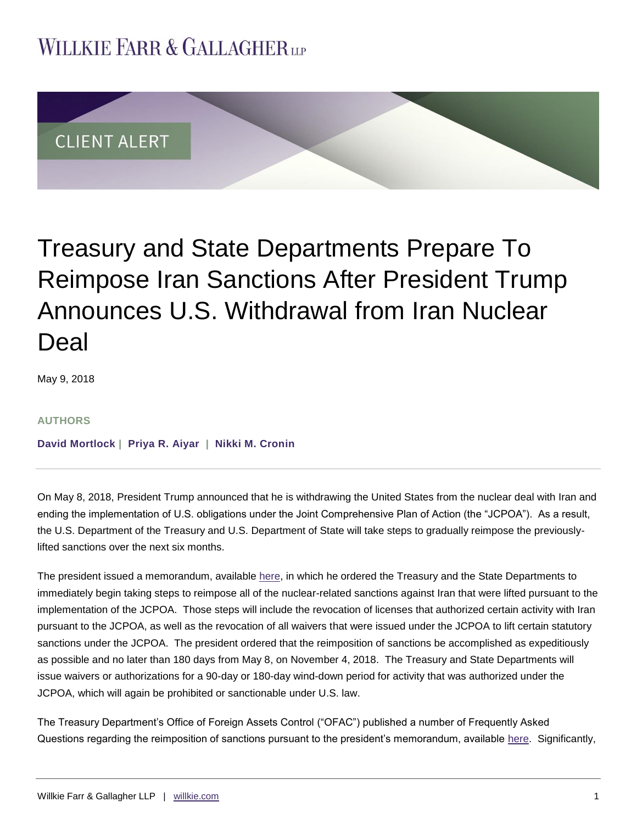## **WILLKIE FARR & GALLAGHERUP**



# Treasury and State Departments Prepare To Reimpose Iran Sanctions After President Trump Announces U.S. Withdrawal from Iran Nuclear Deal

May 9, 2018

#### **AUTHORS**

**[David Mortlock](https://www.willkie.com/professionals/m/mortlock-david) | [Priya R. Aiyar](https://www.willkie.com/professionals/a/aiyar-priya) | [Nikki M. Cronin](https://www.willkie.com/professionals/c/cronin-nikki)**

On May 8, 2018, President Trump announced that he is withdrawing the United States from the nuclear deal with Iran and ending the implementation of U.S. obligations under the Joint Comprehensive Plan of Action (the "JCPOA"). As a result, the U.S. Department of the Treasury and U.S. Department of State will take steps to gradually reimpose the previouslylifted sanctions over the next six months.

The president issued a memorandum, available [here,](https://www.whitehouse.gov/presidential-actions/ceasing-u-s-participation-jcpoa-taking-additional-action-counter-irans-malign-influence-deny-iran-paths-nuclear-weapon/) in which he ordered the Treasury and the State Departments to immediately begin taking steps to reimpose all of the nuclear-related sanctions against Iran that were lifted pursuant to the implementation of the JCPOA. Those steps will include the revocation of licenses that authorized certain activity with Iran pursuant to the JCPOA, as well as the revocation of all waivers that were issued under the JCPOA to lift certain statutory sanctions under the JCPOA. The president ordered that the reimposition of sanctions be accomplished as expeditiously as possible and no later than 180 days from May 8, on November 4, 2018. The Treasury and State Departments will issue waivers or authorizations for a 90-day or 180-day wind-down period for activity that was authorized under the JCPOA, which will again be prohibited or sanctionable under U.S. law.

The Treasury Department's Office of Foreign Assets Control ("OFAC") published a number of Frequently Asked Questions regarding the reimposition of sanctions pursuant to the president's memorandum, available [here.](https://www.treasury.gov/resource-center/sanctions/Programs/Documents/jcpoa_winddown_faqs.pdf) Significantly,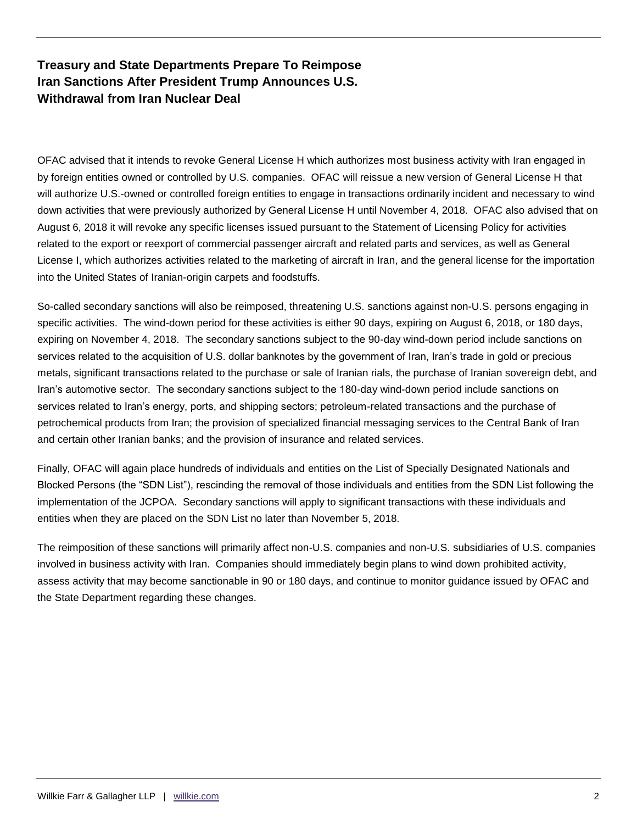## **Treasury and State Departments Prepare To Reimpose Iran Sanctions After President Trump Announces U.S. Withdrawal from Iran Nuclear Deal**

OFAC advised that it intends to revoke General License H which authorizes most business activity with Iran engaged in by foreign entities owned or controlled by U.S. companies. OFAC will reissue a new version of General License H that will authorize U.S.-owned or controlled foreign entities to engage in transactions ordinarily incident and necessary to wind down activities that were previously authorized by General License H until November 4, 2018. OFAC also advised that on August 6, 2018 it will revoke any specific licenses issued pursuant to the Statement of Licensing Policy for activities related to the export or reexport of commercial passenger aircraft and related parts and services, as well as General License I, which authorizes activities related to the marketing of aircraft in Iran, and the general license for the importation into the United States of Iranian-origin carpets and foodstuffs.

So-called secondary sanctions will also be reimposed, threatening U.S. sanctions against non-U.S. persons engaging in specific activities. The wind-down period for these activities is either 90 days, expiring on August 6, 2018, or 180 days, expiring on November 4, 2018. The secondary sanctions subject to the 90-day wind-down period include sanctions on services related to the acquisition of U.S. dollar banknotes by the government of Iran, Iran's trade in gold or precious metals, significant transactions related to the purchase or sale of Iranian rials, the purchase of Iranian sovereign debt, and Iran's automotive sector. The secondary sanctions subject to the 180-day wind-down period include sanctions on services related to Iran's energy, ports, and shipping sectors; petroleum-related transactions and the purchase of petrochemical products from Iran; the provision of specialized financial messaging services to the Central Bank of Iran and certain other Iranian banks; and the provision of insurance and related services.

Finally, OFAC will again place hundreds of individuals and entities on the List of Specially Designated Nationals and Blocked Persons (the "SDN List"), rescinding the removal of those individuals and entities from the SDN List following the implementation of the JCPOA. Secondary sanctions will apply to significant transactions with these individuals and entities when they are placed on the SDN List no later than November 5, 2018.

The reimposition of these sanctions will primarily affect non-U.S. companies and non-U.S. subsidiaries of U.S. companies involved in business activity with Iran. Companies should immediately begin plans to wind down prohibited activity, assess activity that may become sanctionable in 90 or 180 days, and continue to monitor guidance issued by OFAC and the State Department regarding these changes.